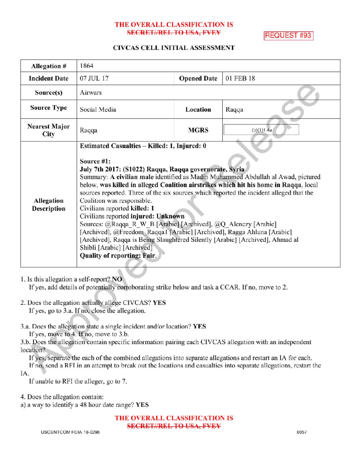## THE OVERALL CLASSIFICATION IS **SECRET//REL TO USA, FVEY**

**REQUEST #93** 

## CIVCAS CELL INITIAL ASSESSMENT

| Allegation #                 | 1864                                                                                                                                                                                                                                                                                                                                                                                                                                                                                                                                                                                                                                                                                                                                                                                              |                    |            |
|------------------------------|---------------------------------------------------------------------------------------------------------------------------------------------------------------------------------------------------------------------------------------------------------------------------------------------------------------------------------------------------------------------------------------------------------------------------------------------------------------------------------------------------------------------------------------------------------------------------------------------------------------------------------------------------------------------------------------------------------------------------------------------------------------------------------------------------|--------------------|------------|
| <b>Incident Date</b>         | 07 JUL 17                                                                                                                                                                                                                                                                                                                                                                                                                                                                                                                                                                                                                                                                                                                                                                                         | <b>Opened Date</b> | 01 FEB 18  |
| Source(s)                    | Airwars                                                                                                                                                                                                                                                                                                                                                                                                                                                                                                                                                                                                                                                                                                                                                                                           |                    |            |
| <b>Source Type</b>           | Social Media                                                                                                                                                                                                                                                                                                                                                                                                                                                                                                                                                                                                                                                                                                                                                                                      | Location           | Raqqa      |
| <b>Nearest Major</b><br>City | Raqqa                                                                                                                                                                                                                                                                                                                                                                                                                                                                                                                                                                                                                                                                                                                                                                                             | <b>MGRS</b>        | (b)(1)1.4a |
| Allegation<br>Description    | Estimated Casualties – Killed: 1, Injured: 0<br>Source #1:<br>July 7th 2017: (S1022) Raqqa, Raqqa governorate, Syria<br>Summary: A civilian male identified as Madin Muhammed Abdullah al Awad, pictured<br>below, was killed in alleged Coalition airstrikes which hit his home in Raqqa, local<br>sources reported. Three of the six sources which reported the incident alleged that the<br>Coalition was responsible.<br>Civilians reported killed: 1<br>Civilians reported injured: Unknown<br>Sources: @Raqqa R W B [Arabic] [Archived], @Q Alenezy [Arabic]<br>[Archived], @Freedom Raqqa1 [Arabic] [Archived], Ragga Ahluna [Arabic]<br>[Archived], Raqqa is Being Slaughtered Silently [Arabic] [Archived], Ahmad al<br>Shibli [Arabic] [Archived]<br><b>Quality of reporting: Fair.</b> |                    |            |

1. Is this allegation a self-report? NO

If yes, add details of potentially corroborating strike below and task a CCAR. If no, move to 2.

- 2. Does the allegation actually allege CIVCAS? YES If yes, go to  $3.a$ . If no, close the allegation.
- 3.a. Does the allegation state a single incident and/or location? YES If yes, move to 4. If no, move to 3.b.

3.b. Does the allegation contain specific information pairing each CIVCAS allegation with an independent location?

Ifyes, separate the each of the combined allegations into separate allegations and restart an IA for each.

If no, send a RFI in an attempt to break out the locations and casualties into separate allegations, restart the IA

If unable to RFI the alleger, go to 7.

4. Does the allegation contain:

a) <sup>a</sup> way to identify a 48 hour date range? YES

THE OVERALL CLASSIFICATION IS SECRET//REL TO USA, FVEY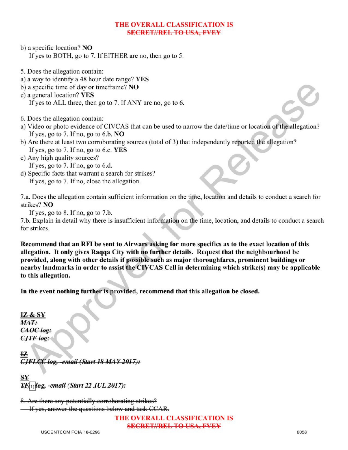## THE OVERALL CLASSIFICATION IS SECRETI/REL TO USA, EVEY

- b) a specific location? NO If yes to BOTH, go to 7. If EITHER are no, then go to 5.
- 5. Does the allegation contain:
- a) <sup>a</sup> way to identify <sup>a</sup> 48 hour date range? YES
- b) a specific time of day or timeframe? NO
- c) a general location? YES If yes to ALL three, then go to 7. If ANY are no, go to 6.
- 6. Does the allegation contain:
- a) Video or photo evidence of CIVCAS that can be used to narrow the date/time or location of the allegation? If yes, go to 7. If no, go to 6.b.  $NO$
- ) Are there at least two corroborating sources (total of 3) that independently reported the allegation? If yes, go to 7. If no, go to 6.c.  $YES$
- c) Any high quality sources? If yes, go to  $7$ . If no, go to  $6.d$ .
- d) Specific facts that warrant a search for strikes? If yes, go to 7. If no, close the allegation.

7.a. Does the allegation contain sufficient information on the time, location and details to conduct a search for strikes? NO

If yes, go to  $8$ . If no, go to  $7.b$ .

7.b. Explain in detail why there is insufficient information on the time, location, and details to conduct <sup>a</sup> search for strikes

Recommend that an RFI be sent to Airwars asking for more specifics as to the exact location of this allegation. Itonly gives Raqqa City with no further details. Request that the neighbourhood be provided, along with other details if possible such as major thoroughfares, prominent buildings or nearby landmarks in order to assist the CIVCAS Cell in determiningwhich strike(s) may be applicable to this allegation.

In the event nothing further is provided, recommend that this allegation be closed.

IZ &  $MAT:$ CAOC log:  $CJTF$  log:

IZ  $CIFLCC$  log, -email (Start 18 MAY 2017):

 $\mathbf{S} \mathbf{Y}$ ag. -email (Start 22 JUL 2017):

8. Are there any potentially corroborating strikes? If yes, answer the questions below and task CCAR.

THE OVERALL CLASSIFICATIONIS

SECRET//REL TO USA, FVEY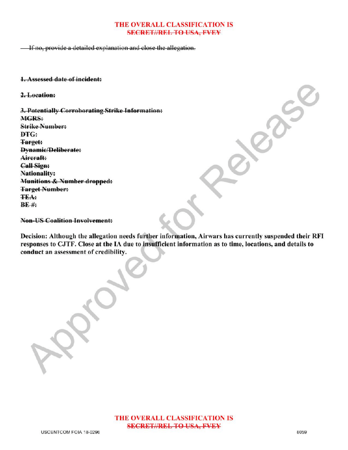## THE OVERALL CLASSIFICATION IS **SECRET//REL TO USA, FVEY**

**If no, provide a detailed explanation and close the allegation.** 

1. Assessed date of incident:

2.Location:

3. Potentially Corroborating Strike Information: MGRS: Strike Number: DTG: Target: Dynamic/Deliberate: Aircraft : **Call Sign:** Nationality: Munitions & Number dropped: **Target Number: TEA:**  $BF$ #: Property of

-US Coalition Involvement:

Decision: Although the allegation needs further information, Airwars has currently suspended their RFI responses to CJTF. Close at the IA due to insufficient information as to time, locations, and details to conduct an assessment of credibility.

Approved